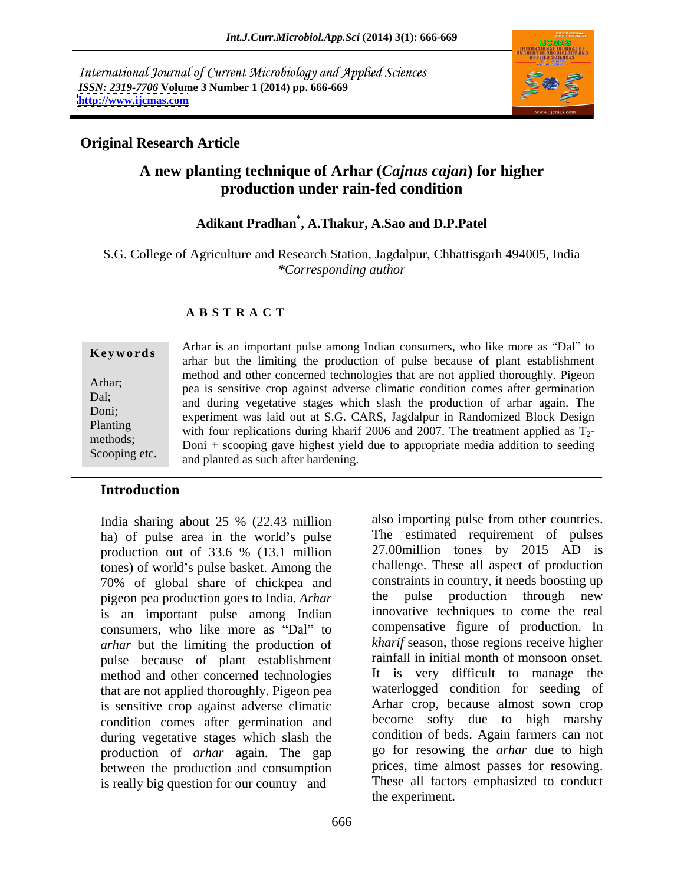International Journal of Current Microbiology and Applied Sciences *ISSN: 2319-7706* **Volume 3 Number 1 (2014) pp. 666-669 <http://www.ijcmas.com>**



also importing pulse from other countries.

## **Original Research Article**

# **A new planting technique of Arhar (***Cajnus cajan***) for higher production under rain-fed condition**

## **Adikant Pradhan\* , A.Thakur, A.Sao and D.P.Patel**

S.G. College of Agriculture and Research Station, Jagdalpur, Chhattisgarh 494005, India *\*Corresponding author*

### **A B S T R A C T**

**Keywords** and all all interest all all all all consulters, who like those as Dar to an archar but the limiting the production of pulse because of plant establishment Arhar;<br>
pea is sensitive crop against adverse climatic condition comes after germination Dal;<br>and during vegetative stages which slash the production of arhar again. The Doni;<br>
experiment was laid out at S.G. CARS, Jagdalpur in Randomized Block Design Planting with four replications during kharif 2006 and 2007. The treatment applied as  $T_2$ methods;<br> $Doni + scooping gave highest yield due to appropriate media addition to seeding$ Scooping etc. and planted as such after hardening. Arhar is an important pulse among Indian consumers, who like more as "Dal" to method and other concerned technologies that are not applied thoroughly. Pigeon

### **Introduction**

India sharing about 25 % (22.43 million also importing pulse from other countries. ha) of pulse area in the world's pulse production out of 33.6 % (13.1 million tones) of world's pulse basket. Among the 70% of global share of chickpea and constraints in country, it needs boosting up<br>nigeon pea-production goes to India Arhar the pulse production through new pigeon pea production goes to India. *Arhar* is an important pulse among Indian consumers, who like more as "Dal" to *arhar* but the limiting the production of pulse because of plant establishment method and other concerned technologies that are not applied thoroughly. Pigeon pea is sensitive crop against adverse climatic condition comes after germination and during vegetative stages which slash the production of *arhar* again. The gap between the production and consumption is really big question for our country and

666 the pulse production through new innovative techniques to come the real compensative figure of production. In *kharif* season, those regions receive higher rainfall in initial month of monsoon onset. It is very difficult to manage the waterlogged condition for seeding of Arhar crop, because almost sown crop become softy due to high marshy condition of beds. Again farmers can not go for resowing the *arhar* due to high prices, time almost passes for resowing. These all factors emphasized to conduct the experiment.

The estimated requirement of pulses 27.00million tones by 2015 AD is challenge. These all aspect of production constraints in country, it needs boosting up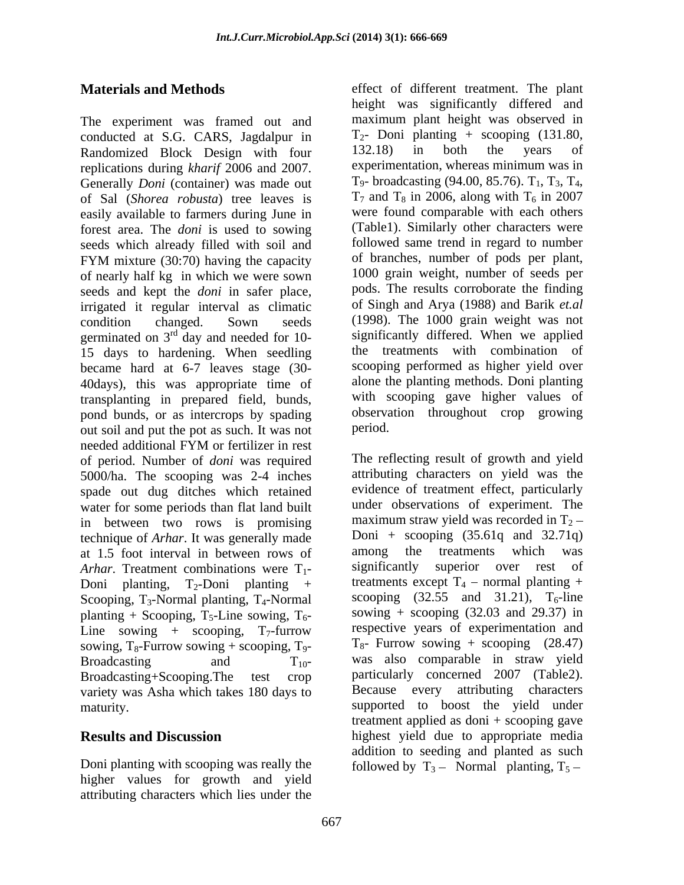The experiment was framed out and conducted at S.G. CARS, Jagdalpur in  $T_2$ - Doni planting + scooping (131.80, Randomized Block Design with four  $132.18$ ) in both the vears of Randomized Block Design with four replications during *kharif* 2006 and 2007. experimentation, whereas minimum was in<br>Generally *Doni* (container) was made out T<sub>9</sub>- broadcasting (94.00, 85.76). T<sub>1</sub>, T<sub>3</sub>, T<sub>4</sub>, Generally *Doni* (container) was made out  $T_9$ - broadcasting (94.00, 85.76).  $T_1$ ,  $T_3$ ,  $T_4$ , of Sal *(Shorea robusta)* tree leaves is  $T_7$  and  $T_8$  in 2006, along with  $T_6$  in 2007 of Sal (*Shorea robusta*) tree leaves is easily available to farmers during June in forest area. The *doni* is used to sowing seeds which already filled with soil and FYM mixture (30:70) having the capacity of branches, number of pods per plant, of nearly half kg in which we were sown seeds and kept the *doni* in safer place, irrigated it regular interval as climatic condition changed. Sown seeds (1998). The 1000 grain weight was not germinated on  $3<sup>rd</sup>$  day and needed for 10-15 days to hardening. When seedling became hard at 6-7 leaves stage (30- 40days), this was appropriate time of transplanting in prepared field, bunds, pond bunds, or as intercrops by spading observa<br>out soil and put the pot as such It was not period. out soil and put the pot as such. It was not needed additional FYM or fertilizer in rest of period. Number of *doni* was required 5000/ha. The scooping was 2-4 inches spade out dug ditches which retained water for some periods than flat land built in between two rows is promising technique of *Arhar*. It was generally made  $\frac{15 \text{ }}{2}$  Doni + scooping (35.61q and 32.71q) at 1.5 foot interval in between rows of among the treatments which was at 1.5 foot interval in between rows of among the treatments which was<br>Arhar Treatment combinations were  $T_1$ , significantly superior over rest of *Arhar*. Treatment combinations were T<sub>1</sub>-Doni planting,  $T_2$ -Doni planting + treatments except  $T_4$  – normal planting + Scooping,  $T_3$ -Normal planting,  $T_4$ -Normal planting + Scooping,  $T_5$ -Line sowing,  $T_6$ -Line sowing + scooping,  $T_7$ -furrow sowing,  $T_8$ -Furrow sowing + scooping,  $T_9$ -Broadcasting and  $T_{10}$  was also comparable in straw yield Broadcasting+Scooping.The test crop particularly concerned 2007 (Table2). variety was Asha which takes 180 days to maturity. supported to boost the yield under

Doni planting with scooping was really the followed by  $T_3$  Normal planting,  $T_5$  higher values for growth and yield attributing characters which lies under the

**Materials and Methods** effect of different treatment. The plant <sup>rd</sup> day and needed for 10- significantly differed. When we applied height was significantly differed and maximum plant height was observed in  $T_2$ - Doni planting + scooping (131.80, 132.18) in both the years of experimentation, whereas minimum was in T<sub>9</sub>- broadcasting (94.00, 85.76). T<sub>1</sub>, T<sub>3</sub>, T<sub>4</sub>, T<sub>7</sub> and T<sub>8</sub> in 2006, along with T<sub>6</sub> in 2007 were found comparable with each others (Table1). Similarly other characters were followed same trend in regard to number of branches, number of pods per plant, 1000 grain weight, number of seeds per pods. The results corroborate the finding of Singh and Arya (1988) and Barik *et.al* the treatments with combination of scooping performed as higher yield over alone the planting methods. Doni planting with scooping gave higher values of observation throughout crop growing period.

**Results and Discussion** highest yield due to appropriate media The reflecting result of growth and yield attributing characters on yield was the evidence of treatment effect, particularly under observations of experiment. The maximum straw yield was recorded in  $T_2$  – Doni + scooping  $(35.61q$  and  $32.71q$ ) among the treatments which was significantly superior over rest of scooping  $(32.55 \text{ and } 31.21)$ , T<sub>6</sub>-line sowing  $+$  scooping (32.03 and 29.37) in respective years of experimentation and  $T_{8}$ - Furrow sowing + scooping (28.47) Because every attributing characters treatment applied as doni + scooping gave addition to seeding and planted as such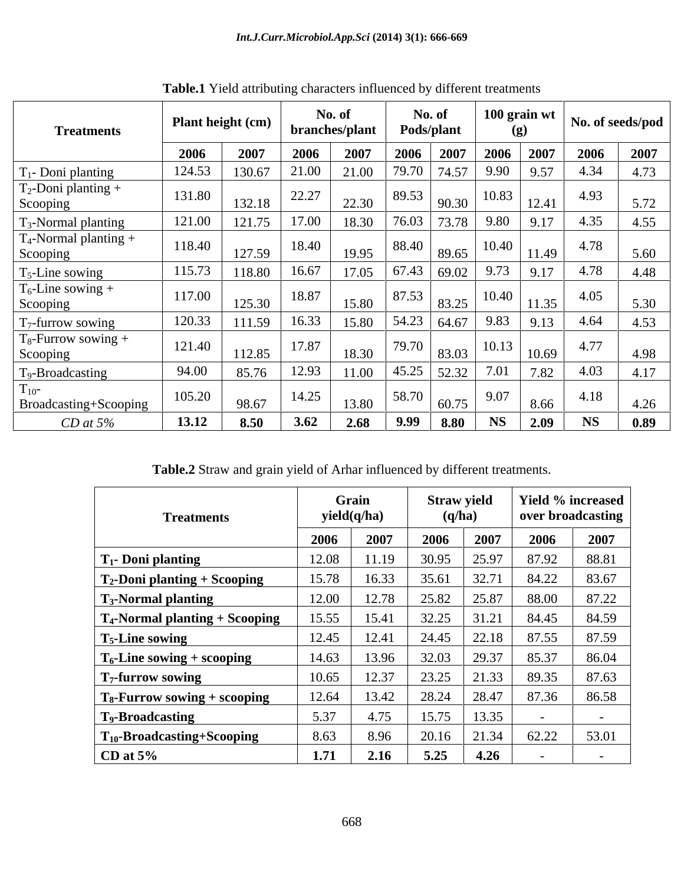| <b>Treatments</b>                    | <b>Plant height (cm)</b> |        | No. of<br>branches/plant |       | No. of<br>Pods/plant |        | 100 grain wt |       | No. of seeds/pod |      |
|--------------------------------------|--------------------------|--------|--------------------------|-------|----------------------|--------|--------------|-------|------------------|------|
|                                      | 2006                     | 2007   | 2006                     | 2007  | 2006                 | 2007   | 2006         | 2007  | 2006             | 2007 |
| $\Gamma_1$ - Doni planting           | 124.53                   | 130.67 | 21.00                    | 21.00 | 79.70                | 74.57  | 9.90         | 9.57  | 4.34             | 4.73 |
| $T_2$ -Doni planting +<br>Scooping   | 131.80                   | 132.18 | 22.27                    | 22.30 | 89.53                | 90.30  | 10.83        | 12.41 | 4.93             | 5.72 |
| $T_3$ -Normal planting               | 121.00                   | 121.75 | 17.00                    | 18.30 | 76.03                | 73.78  | 9.80         | 9.17  | 4.35             | 4.55 |
| $T_4$ -Normal planting +<br>Scooping | 118.40                   | 127.59 | 18.40                    | 19.95 | 88.40                | 89.65  | 10.40        | 11.49 | 4.78             | 5.60 |
| $T_5$ -Line sowing                   | 115.73                   | 118.80 | 16.67                    | 17.05 | 67.43                | 69.02  | 9.73         | 9.17  | 4.78             | 4.48 |
| $T_6$ -Line sowing +<br>Scooping     | 117.00                   | 125.30 | 18.87                    | 15.80 | 87.53                | 83.25  | 10.40        | 11.35 | 4.05             | 5.30 |
| $T_7$ -furrow sowing                 | 120.33                   | 111.59 | 16.33                    | 15.80 | 54.23                | 164.67 | 9.83         | 9.13  | 4.64             | 4.53 |
| $T_8$ -Furrow sowing +<br>Scooping   | 121.40                   | 112.85 | 17.87                    | 18.30 | 79.70                | 83.03  | 10.13        | 10.69 | 4.77             | 4.98 |
| T <sub>9</sub> -Broadcasting         | 94.00                    | 85.76  | 12.93                    | 11.00 | 45.25                | 52.32  | 7.01         | 7.82  | 4.03             | 4.17 |
| $1_{10}$ -<br>Broadcasting+Scooping  | 105.20                   | 98.67  | 14.25                    | 13.80 | 58.70                | 60.75  | 9.07         | 8.66  | 4.18             | 4.26 |
| $CD$ at 5%                           | 13.12                    | 8.50   | 3.62                     | 2.68  | 9.99                 | 8.80   | <b>NS</b>    | 2.09  | <b>NS</b>        | 0.89 |

**Table.1** Yield attributing characters influenced by different treatments

**Table.2** Straw and grain yield of Arhar influenced by different treatments.

| <b>Treatments</b>                      | Grain<br>yield(q/ha) |       | <b>Straw yield</b><br>(q/ha) |                 | Yield % increased<br>over broadcasting |       |
|----------------------------------------|----------------------|-------|------------------------------|-----------------|----------------------------------------|-------|
|                                        | 2006                 | 2007  | 2006                         | 2007            | 2006                                   | 2007  |
| T <sub>1</sub> - Doni planting         | 12.08                | 11.19 | 30.95                        | 125.97          | 87.92                                  | 88.81 |
| $T_2$ -Doni planting + Scooping        | 15.78                | 16.33 | 35.61                        | 32.71           | 84.22                                  | 83.67 |
| <b>T<sub>3</sub>-Normal planting</b>   | 12.00                | 12.78 |                              | 25.82   25.87   | 88.00                                  | 87.22 |
| $T_4$ -Normal planting + Scooping      | 15.55                | 15.41 | 32.25                        | 31.21           | 84.45                                  | 84.59 |
| $T5$ -Line sowing                      | 12.45                | 12.41 |                              | $24.45$   22.18 | 87.55                                  | 87.59 |
| $T_6$ -Line sowing + scooping          | 14.63                | 13.96 | 32.03                        | 29.37           | 85.37                                  | 86.04 |
| $T7$ -furrow sowing                    | 10.65                | 12.37 | 23.25                        | 21.33           | 89.35                                  | 87.63 |
| $T_8$ -Furrow sowing + scooping        | 12.64                | 13.42 | 28.24                        | 28.47           | 87.36                                  | 86.58 |
| <b>T<sub>9</sub>-Broadcasting</b>      | 5.37                 | 4.75  | 15.75                        | 13.35           |                                        |       |
| T <sub>10</sub> -Broadcasting+Scooping | 8.63                 | 8.96  | 20.16                        | 1.34            | 62.22                                  | 53.01 |
| CD at $5%$                             | 1.71                 | 2.16  | 5.25                         | 4.26            |                                        |       |